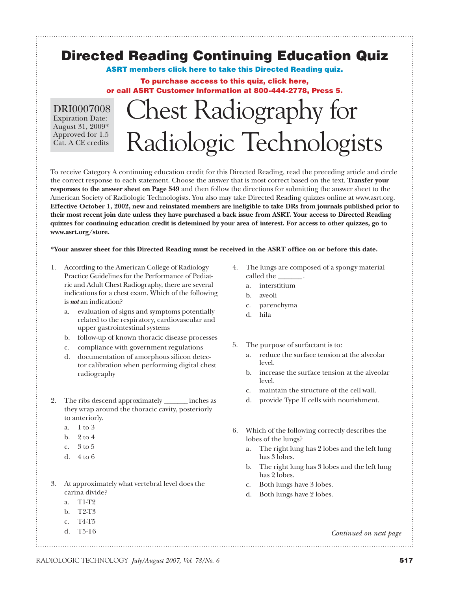# **Directed Reading Continuing Education Quiz**

**[ASRT members click here to take this Directed Reading quiz.](http://www.asrt.org/applications/directed_readings/directed_reading_selection.aspx)**

#### **To purchase access to this quiz, click here, or call ASRT Customer Information at 800-444-2778, Press 5.**

DRI0007008 Expiration Date: August 31, 2009\* Approved for 1.5 Cat. A CE credits

# Chest Radiography for Radiologic Technologists

To receive Category A continuing education credit for this Directed Reading, read the preceding article and circle the correct response to each statement. Choose the answer that is most correct based on the text. **Transfer your responses to the answer sheet on Page 549** and then follow the directions for submitting the answer sheet to the American Society of Radiologic Technologists. You also may take Directed Reading quizzes online at www.asrt.org. **Effective October 1, 2002, new and reinstated members are ineligible to take DRs from journals published prior to their most recent join date unless they have purchased a back issue from ASRT. Your access to Directed Reading quizzes for continuing education credit is detemined by your area of interest. For access to other quizzes, go to www.asrt.org/store.**

**\*Your answer sheet for this Directed Reading must be received in the ASRT office on or before this date.**

- 1. According to the American College of Radiology Practice Guidelines for the Performance of Pediatric and Adult Chest Radiography, there are several indications for a chest exam. Which of the following is *not* an indication?
	- a. evaluation of signs and symptoms potentially related to the respiratory, cardiovascular and upper gastrointestinal systems
	- b. follow-up of known thoracic disease processes
	- c. compliance with government regulations
	- d. documentation of amorphous silicon detector calibration when performing digital chest radiography
- 2. The ribs descend approximately \_\_\_\_\_\_\_ inches as they wrap around the thoracic cavity, posteriorly to anteriorly.
	- a. 1 to 3
	- b. 2 to 4
	- c. 3 to 5
	- d. 4 to 6
- 3. At approximately what vertebral level does the carina divide?
	- a. T1-T2
	- b. T2-T3
	- c. T4-T5
	- d. T5-T6
- 4. The lungs are composed of a spongy material called the
	- a. interstitium
	- b. aveoli
	- c. parenchyma
	- d. hila
- 5. The purpose of surfactant is to:
	- a. reduce the surface tension at the alveolar level.
	- b. increase the surface tension at the alveolar level.
	- c. maintain the structure of the cell wall.
	- d. provide Type II cells with nourishment.
- 6. Which of the following correctly describes the lobes of the lungs?
	- a. The right lung has 2 lobes and the left lung has 3 lobes.
	- b. The right lung has 3 lobes and the left lung has 2 lobes.
	- c. Both lungs have 3 lobes.
	- d. Both lungs have 2 lobes.

*Continued on next page*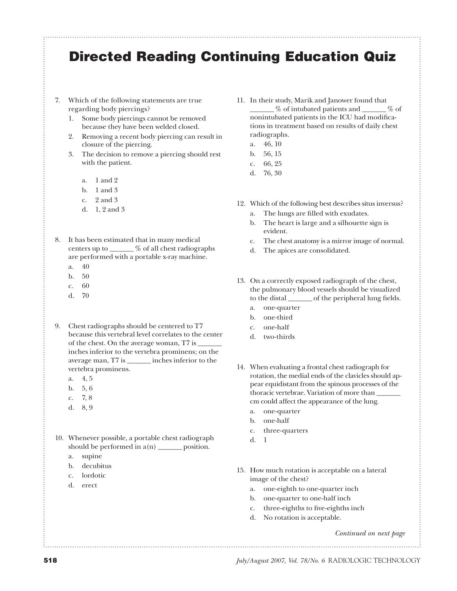### **Directed Reading Continuing Education Quiz**

- 7. Which of the following statements are true regarding body piercings?
	- 1. Some body piercings cannot be removed because they have been welded closed.
	- 2. Removing a recent body piercing can result in closure of the piercing.
	- 3. The decision to remove a piercing should rest with the patient.
		- a. 1 and 2
		- b. 1 and 3
		- $c. 2$  and 3
		- d. 1, 2 and 3
- 8. It has been estimated that in many medical centers up to \_\_\_\_\_\_\_ % of all chest radiographs are performed with a portable x-ray machine.
	- a. 40
	- b. 50
	- c. 60
	- d. 70
- 9. Chest radiographs should be centered to T7 because this vertebral level correlates to the center of the chest. On the average woman, T7 is \_\_\_\_\_\_\_ inches inferior to the vertebra prominens; on the average man, T7 is \_\_\_\_\_\_\_ inches inferior to the vertebra prominens.
	- a. 4, 5
	- b. 5, 6
	- c. 7, 8
	- d. 8, 9
- 10. Whenever possible, a portable chest radiograph should be performed in  $a(n)$  \_\_\_\_\_\_\_ position.
	- a. supine
	- b. decubitus
	- c. lordotic
	- d. erect
- 11. In their study, Marik and Janower found that \_\_\_\_\_\_\_ % of intubated patients and \_\_\_\_\_\_\_ % of nonintubated patients in the ICU had modifications in treatment based on results of daily chest radiographs.
	- a. 46, 10 b. 56, 15
	- c. 66, 25
	- d. 76, 30
	-
- 12. Which of the following best describes situs inversus?
	- a. The lungs are filled with exudates.
	- b. The heart is large and a silhouette sign is evident.
	- c. The chest anatomy is a mirror image of normal.
	- d. The apices are consolidated.
- 13. On a correctly exposed radiograph of the chest, the pulmonary blood vessels should be visualized to the distal \_\_\_\_\_\_\_\_ of the peripheral lung fields.
	- a. one-quarter
	- b. one-third
	- c. one-half
	- d. two-thirds
- 14. When evaluating a frontal chest radiograph for rotation, the medial ends of the clavicles should appear equidistant from the spinous processes of the thoracic vertebrae. Variation of more than \_\_\_\_\_\_\_ cm could affect the appearance of the lung.
	- a. one-quarter
	- b. one-half
	- c. three-quarters
	- d. 1
- 15. How much rotation is acceptable on a lateral image of the chest?
	- a. one-eighth to one-quarter inch
	- b. one-quarter to one-half inch
	- c. three-eighths to five-eighths inch
	- d. No rotation is acceptable.

*Continued on next page*